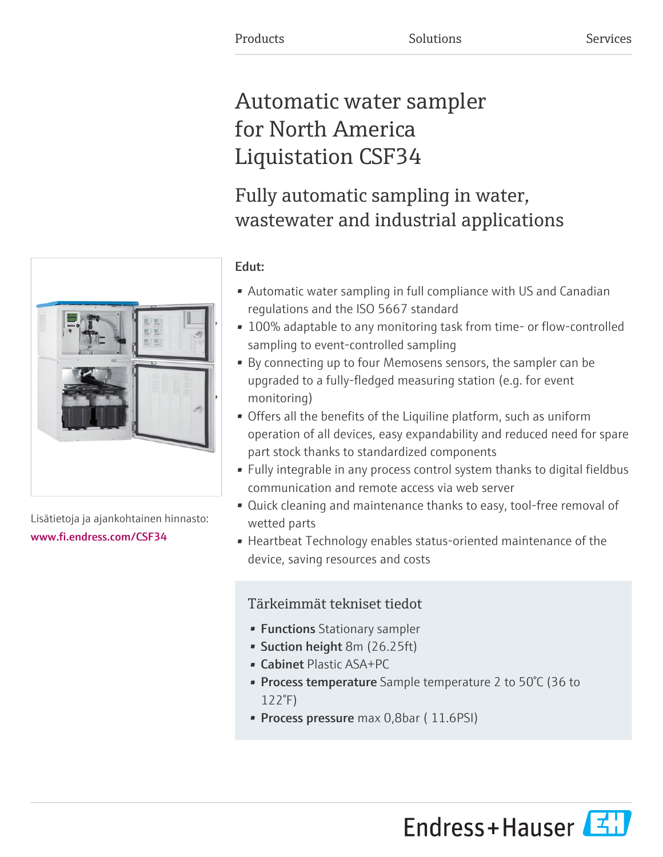# Automatic water sampler for North America Liquistation CSF34

# Fully automatic sampling in water, wastewater and industrial applications



- Automatic water sampling in full compliance with US and Canadian regulations and the ISO 5667 standard
- 100% adaptable to any monitoring task from time- or flow-controlled sampling to event-controlled sampling
- By connecting up to four Memosens sensors, the sampler can be upgraded to a fully-fledged measuring station (e.g. for event monitoring)
- Offers all the benefits of the Liquiline platform, such as uniform operation of all devices, easy expandability and reduced need for spare part stock thanks to standardized components
- Fully integrable in any process control system thanks to digital fieldbus communication and remote access via web server
- Quick cleaning and maintenance thanks to easy, tool-free removal of wetted parts
- Heartbeat Technology enables status-oriented maintenance of the device, saving resources and costs

# Tärkeimmät tekniset tiedot

- Functions Stationary sampler
- Suction height 8m (26.25ft)
- Cabinet Plastic ASA+PC
- **Process temperature** Sample temperature 2 to 50°C (36 to 122°F)
- Process pressure max 0,8bar (11.6PSI)



Lisätietoja ja ajankohtainen hinnasto: [www.fi.endress.com/CSF34](https://www.fi.endress.com/CSF34)

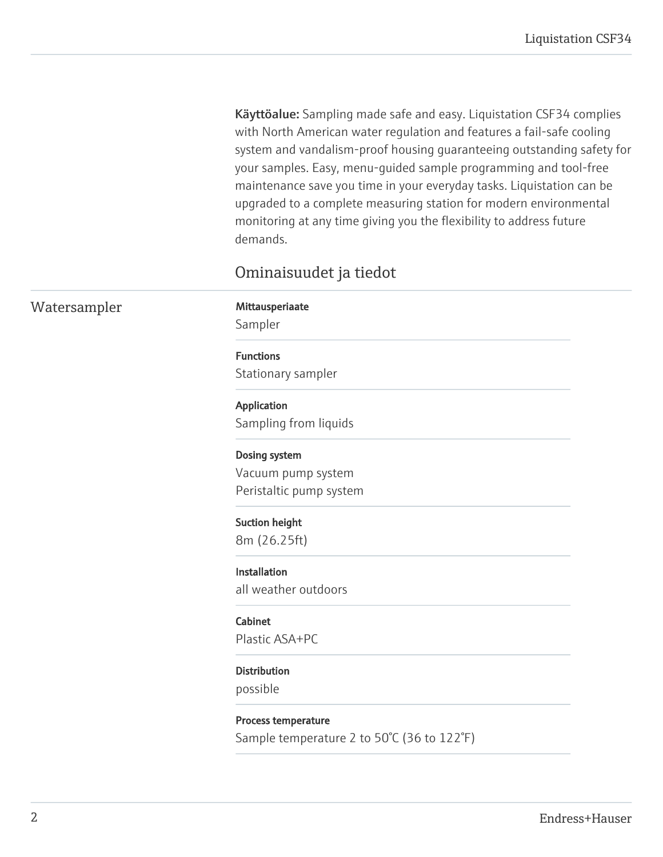Käyttöalue: Sampling made safe and easy. Liquistation CSF34 complies with North American water regulation and features a fail-safe cooling system and vandalism-proof housing guaranteeing outstanding safety for your samples. Easy, menu-guided sample programming and tool-free maintenance save you time in your everyday tasks. Liquistation can be upgraded to a complete measuring station for modern environmental monitoring at any time giving you the flexibility to address future demands.

# Ominaisuudet ja tiedot

Watersampler Mittausperiaate Sampler Functions Stationary sampler Application Sampling from liquids Dosing system Vacuum pump system Peristaltic pump system Suction height 8m (26.25ft) Installation all weather outdoors Cabinet Plastic ASA+PC **Distribution** possible

> Process temperature Sample temperature 2 to 50°C (36 to 122°F)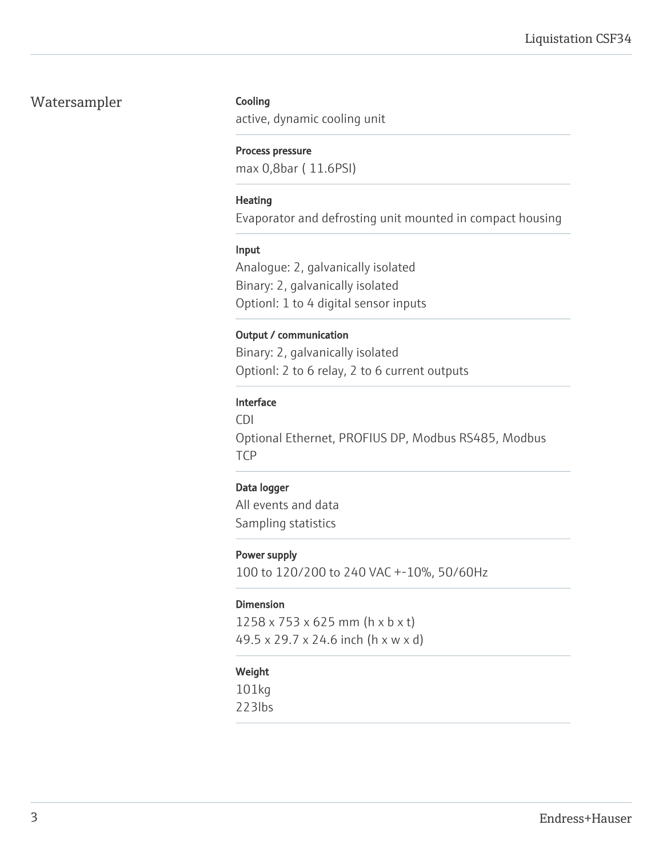## Watersampler

#### Cooling

active, dynamic cooling unit

#### Process pressure

max 0,8bar ( 11.6PSI)

#### Heating

Evaporator and defrosting unit mounted in compact housing

#### Input

Analogue: 2, galvanically isolated Binary: 2, galvanically isolated Optionl: 1 to 4 digital sensor inputs

#### Output / communication

Binary: 2, galvanically isolated Optionl: 2 to 6 relay, 2 to 6 current outputs

#### Interface

CDI Optional Ethernet, PROFIUS DP, Modbus RS485, Modbus **TCP** 

#### Data logger

All events and data Sampling statistics

#### Power supply

100 to 120/200 to 240 VAC +-10%, 50/60Hz

#### Dimension

1258 x 753 x 625 mm (h x b x t) 49.5 x 29.7 x 24.6 inch (h x w x d)

#### Weight

101kg 223lbs